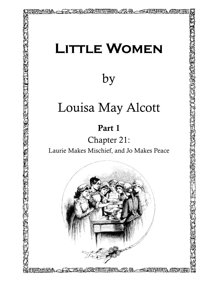## **Little Women**

by

## Louisa May Alcott

## Part 1

Chapter 21:

Laurie Makes Mischief, and Jo Makes Peace

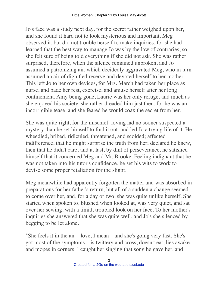Jo's face was a study next day, for the secret rather weighed upon her, and she found it hard not to look mysterious and important. Meg observed it, but did not trouble herself to make inquiries, for she had learned that the best way to manage Jo was by the law of contraries, so she felt sure of being told everything if she did not ask. She was rather surprised, therefore, when the silence remained unbroken, and Jo assumed a patronizing air, which decidedly aggravated Meg, who in turn assumed an air of dignified reserve and devoted herself to her mother. This left Jo to her own devices, for Mrs. March had taken her place as nurse, and bade her rest, exercise, and amuse herself after her long confinement. Amy being gone, Laurie was her only refuge, and much as she enjoyed his society, she rather dreaded him just then, for he was an incorrigible tease, and she feared he would coax the secret from her.

She was quite right, for the mischief–loving lad no sooner suspected a mystery than he set himself to find it out, and led Jo a trying life of it. He wheedled, bribed, ridiculed, threatened, and scolded; affected indifference, that he might surprise the truth from her; declared he knew, then that he didn't care; and at last, by dint of perseverance, he satisfied himself that it concerned Meg and Mr. Brooke. Feeling indignant that he was not taken into his tutor's confidence, he set his wits to work to devise some proper retaliation for the slight.

Meg meanwhile had apparently forgotten the matter and was absorbed in preparations for her father's return, but all of a sudden a change seemed to come over her, and, for a day or two, she was quite unlike herself. She started when spoken to, blushed when looked at, was very quiet, and sat over her sewing, with a timid, troubled look on her face. To her mother's inquiries she answered that she was quite well, and Jo's she silenced by begging to be let alone.

"She feels it in the air––love, I mean––and she's going very fast. She's got most of the symptoms––is twittery and cross, doesn't eat, lies awake, and mopes in corners. I caught her singing that song he gave her, and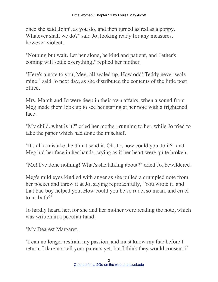once she said 'John', as you do, and then turned as red as a poppy. Whatever shall we do?" said Jo, looking ready for any measures, however violent.

"Nothing but wait. Let her alone, be kind and patient, and Father's coming will settle everything," replied her mother.

"Here's a note to you, Meg, all sealed up. How odd! Teddy never seals mine," said Jo next day, as she distributed the contents of the little post office.

Mrs. March and Jo were deep in their own affairs, when a sound from Meg made them look up to see her staring at her note with a frightened face.

"My child, what is it?" cried her mother, running to her, while Jo tried to take the paper which had done the mischief.

"It's all a mistake, he didn't send it. Oh, Jo, how could you do it?" and Meg hid her face in her hands, crying as if her heart were quite broken.

"Me! I've done nothing! What's she talking about?" cried Jo, bewildered.

Meg's mild eyes kindled with anger as she pulled a crumpled note from her pocket and threw it at Jo, saying reproachfully, "You wrote it, and that bad boy helped you. How could you be so rude, so mean, and cruel to us both?"

Jo hardly heard her, for she and her mother were reading the note, which was written in a peculiar hand.

"My Dearest Margaret,

"I can no longer restrain my passion, and must know my fate before I return. I dare not tell your parents yet, but I think they would consent if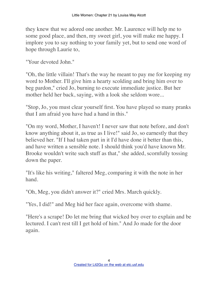they knew that we adored one another. Mr. Laurence will help me to some good place, and then, my sweet girl, you will make me happy. I implore you to say nothing to your family yet, but to send one word of hope through Laurie to,

"Your devoted John."

"Oh, the little villain! That's the way he meant to pay me for keeping my word to Mother. I'll give him a hearty scolding and bring him over to beg pardon," cried Jo, burning to execute immediate justice. But her mother held her back, saying, with a look she seldom wore...

"Stop, Jo, you must clear yourself first. You have played so many pranks that I am afraid you have had a hand in this."

"On my word, Mother, I haven't! I never saw that note before, and don't know anything about it, as true as I live!" said Jo, so earnestly that they believed her. "If I had taken part in it I'd have done it better than this, and have written a sensible note. I should think you'd have known Mr. Brooke wouldn't write such stuff as that," she added, scornfully tossing down the paper.

"It's like his writing," faltered Meg, comparing it with the note in her hand.

"Oh, Meg, you didn't answer it?" cried Mrs. March quickly.

"Yes, I did!" and Meg hid her face again, overcome with shame.

"Here's a scrape! Do let me bring that wicked boy over to explain and be lectured. I can't rest till I get hold of him." And Jo made for the door again.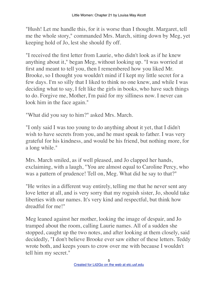"Hush! Let me handle this, for it is worse than I thought. Margaret, tell me the whole story," commanded Mrs. March, sitting down by Meg, yet keeping hold of Jo, lest she should fly off.

"I received the first letter from Laurie, who didn't look as if he knew anything about it," began Meg, without looking up. "I was worried at first and meant to tell you, then I remembered how you liked Mr. Brooke, so I thought you wouldn't mind if I kept my little secret for a few days. I'm so silly that I liked to think no one knew, and while I was deciding what to say, I felt like the girls in books, who have such things to do. Forgive me, Mother, I'm paid for my silliness now. I never can look him in the face again."

"What did you say to him?" asked Mrs. March.

"I only said I was too young to do anything about it yet, that I didn't wish to have secrets from you, and he must speak to father. I was very grateful for his kindness, and would be his friend, but nothing more, for a long while."

Mrs. March smiled, as if well pleased, and Jo clapped her hands, exclaiming, with a laugh, "You are almost equal to Caroline Percy, who was a pattern of prudence! Tell on, Meg. What did he say to that?"

"He writes in a different way entirely, telling me that he never sent any love letter at all, and is very sorry that my roguish sister, Jo, should take liberties with our names. It's very kind and respectful, but think how dreadful for me!"

Meg leaned against her mother, looking the image of despair, and Jo tramped about the room, calling Laurie names. All of a sudden she stopped, caught up the two notes, and after looking at them closely, said decidedly, "I don't believe Brooke ever saw either of these letters. Teddy wrote both, and keeps yours to crow over me with because I wouldn't tell him my secret."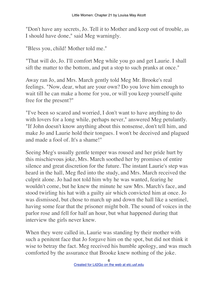"Don't have any secrets, Jo. Tell it to Mother and keep out of trouble, as I should have done," said Meg warningly.

"Bless you, child! Mother told me."

"That will do, Jo. I'll comfort Meg while you go and get Laurie. I shall sift the matter to the bottom, and put a stop to such pranks at once."

Away ran Jo, and Mrs. March gently told Meg Mr. Brooke's real feelings. "Now, dear, what are your own? Do you love him enough to wait till he can make a home for you, or will you keep yourself quite free for the present?"

"I've been so scared and worried, I don't want to have anything to do with lovers for a long while, perhaps never," answered Meg petulantly. "If John doesn't know anything about this nonsense, don't tell him, and make Jo and Laurie hold their tongues. I won't be deceived and plagued and made a fool of. It's a shame!"

Seeing Meg's usually gentle temper was roused and her pride hurt by this mischievous joke, Mrs. March soothed her by promises of entire silence and great discretion for the future. The instant Laurie's step was heard in the hall, Meg fled into the study, and Mrs. March received the culprit alone. Jo had not told him why he was wanted, fearing he wouldn't come, but he knew the minute he saw Mrs. March's face, and stood twirling his hat with a guilty air which convicted him at once. Jo was dismissed, but chose to march up and down the hall like a sentinel, having some fear that the prisoner might bolt. The sound of voices in the parlor rose and fell for half an hour, but what happened during that interview the girls never knew.

When they were called in, Laurie was standing by their mother with such a penitent face that Jo forgave him on the spot, but did not think it wise to betray the fact. Meg received his humble apology, and was much comforted by the assurance that Brooke knew nothing of the joke.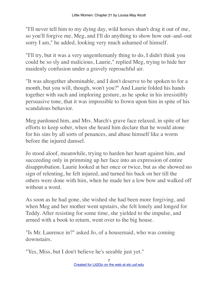"I'll never tell him to my dying day, wild horses shan't drag it out of me, so you'll forgive me, Meg, and I'll do anything to show how out–and–out sorry I am," he added, looking very much ashamed of himself.

"I'll try, but it was a very ungentlemanly thing to do, I didn't think you could be so sly and malicious, Laurie," replied Meg, trying to hide her maidenly confusion under a gravely reproachful air.

"It was altogether abominable, and I don't deserve to be spoken to for a month, but you will, though, won't you?" And Laurie folded his hands together with such and imploring gesture, as he spoke in his irresistibly persuasive tone, that it was impossible to frown upon him in spite of his scandalous behavior.

Meg pardoned him, and Mrs. March's grave face relaxed, in spite of her efforts to keep sober, when she heard him declare that he would atone for his sins by all sorts of penances, and abase himself like a worm before the injured damsel.

Jo stood aloof, meanwhile, trying to harden her heart against him, and succeeding only in primming up her face into an expression of entire disapprobation. Laurie looked at her once or twice, but as she showed no sign of relenting, he felt injured, and turned his back on her till the others were done with him, when he made her a low bow and walked off without a word.

As soon as he had gone, she wished she had been more forgiving, and when Meg and her mother went upstairs, she felt lonely and longed for Teddy. After resisting for some time, she yielded to the impulse, and armed with a book to return, went over to the big house.

"Is Mr. Laurence in?" asked Jo, of a housemaid, who was coming downstairs.

"Yes, Miss, but I don't believe he's seeable just yet."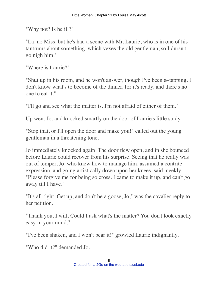"Why not? Is he ill?"

"La, no Miss, but he's had a scene with Mr. Laurie, who is in one of his tantrums about something, which vexes the old gentleman, so I dursn't go nigh him."

"Where is Laurie?"

"Shut up in his room, and he won't answer, though I've been a–tapping. I don't know what's to become of the dinner, for it's ready, and there's no one to eat it."

"I'll go and see what the matter is. I'm not afraid of either of them."

Up went Jo, and knocked smartly on the door of Laurie's little study.

"Stop that, or I'll open the door and make you!" called out the young gentleman in a threatening tone.

Jo immediately knocked again. The door flew open, and in she bounced before Laurie could recover from his surprise. Seeing that he really was out of temper, Jo, who knew how to manage him, assumed a contrite expression, and going artistically down upon her knees, said meekly, "Please forgive me for being so cross. I came to make it up, and can't go away till I have."

"It's all right. Get up, and don't be a goose, Jo," was the cavalier reply to her petition.

"Thank you, I will. Could I ask what's the matter? You don't look exactly easy in your mind."

"I've been shaken, and I won't bear it!" growled Laurie indignantly.

"Who did it?" demanded Jo.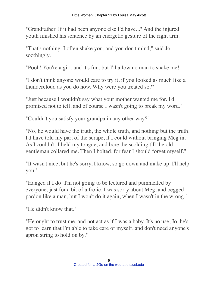"Grandfather. If it had been anyone else I'd have..." And the injured youth finished his sentence by an energetic gesture of the right arm.

"That's nothing. I often shake you, and you don't mind," said Jo soothingly.

"Pooh! You're a girl, and it's fun, but I'll allow no man to shake me!"

"I don't think anyone would care to try it, if you looked as much like a thundercloud as you do now. Why were you treated so?"

"Just because I wouldn't say what your mother wanted me for. I'd promised not to tell, and of course I wasn't going to break my word."

"Couldn't you satisfy your grandpa in any other way?"

"No, he would have the truth, the whole truth, and nothing but the truth. I'd have told my part of the scrape, if I could without bringing Meg in. As I couldn't, I held my tongue, and bore the scolding till the old gentleman collared me. Then I bolted, for fear I should forget myself."

"It wasn't nice, but he's sorry, I know, so go down and make up. I'll help you."

"Hanged if I do! I'm not going to be lectured and pummelled by everyone, just for a bit of a frolic. I was sorry about Meg, and begged pardon like a man, but I won't do it again, when I wasn't in the wrong."

"He didn't know that."

"He ought to trust me, and not act as if I was a baby. It's no use, Jo, he's got to learn that I'm able to take care of myself, and don't need anyone's apron string to hold on by."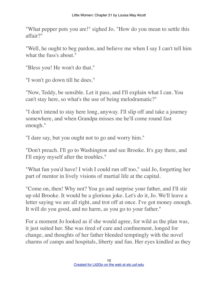"What pepper pots you are!" sighed Jo. "How do you mean to settle this affair?"

"Well, he ought to beg pardon, and believe me when I say I can't tell him what the fuss's about."

"Bless you! He won't do that."

"I won't go down till he does."

"Now, Teddy, be sensible. Let it pass, and I'll explain what I can. You can't stay here, so what's the use of being melodramatic?"

"I don't intend to stay here long, anyway. I'll slip off and take a journey somewhere, and when Grandpa misses me he'll come round fast enough."

"I dare say, but you ought not to go and worry him."

"Don't preach. I'll go to Washington and see Brooke. It's gay there, and I'll enjoy myself after the troubles."

"What fun you'd have! I wish I could run off too," said Jo, forgetting her part of mentor in lively visions of martial life at the capital.

"Come on, then! Why not? You go and surprise your father, and I'll stir up old Brooke. It would be a glorious joke. Let's do it, Jo. We'll leave a letter saying we are all right, and trot off at once. I've got money enough. It will do you good, and no harm, as you go to your father."

For a moment Jo looked as if she would agree, for wild as the plan was, it just suited her. She was tired of care and confinement, longed for change, and thoughts of her father blended temptingly with the novel charms of camps and hospitals, liberty and fun. Her eyes kindled as they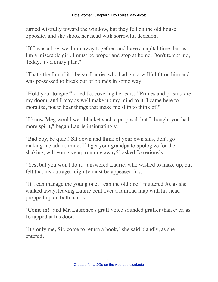turned wistfully toward the window, but they fell on the old house opposite, and she shook her head with sorrowful decision.

"If I was a boy, we'd run away together, and have a capital time, but as I'm a miserable girl, I must be proper and stop at home. Don't tempt me, Teddy, it's a crazy plan."

"That's the fun of it," began Laurie, who had got a willful fit on him and was possessed to break out of bounds in some way.

"Hold your tongue!" cried Jo, covering her ears. "'Prunes and prisms' are my doom, and I may as well make up my mind to it. I came here to moralize, not to hear things that make me skip to think of."

"I know Meg would wet–blanket such a proposal, but I thought you had more spirit," began Laurie insinuatingly.

"Bad boy, be quiet! Sit down and think of your own sins, don't go making me add to mine. If I get your grandpa to apologize for the shaking, will you give up running away?" asked Jo seriously.

"Yes, but you won't do it," answered Laurie, who wished to make up, but felt that his outraged dignity must be appeased first.

"If I can manage the young one, I can the old one," muttered Jo, as she walked away, leaving Laurie bent over a railroad map with his head propped up on both hands.

"Come in!" and Mr. Laurence's gruff voice sounded gruffer than ever, as Jo tapped at his door.

"It's only me, Sir, come to return a book," she said blandly, as she entered.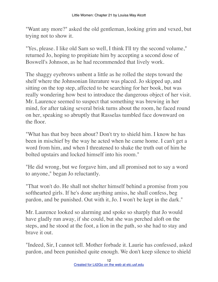"Want any more?" asked the old gentleman, looking grim and vexed, but trying not to show it.

"Yes, please. I like old Sam so well, I think I'll try the second volume," returned Jo, hoping to propitiate him by accepting a second dose of Boswell's Johnson, as he had recommended that lively work.

The shaggy eyebrows unbent a little as he rolled the steps toward the shelf where the Johnsonian literature was placed. Jo skipped up, and sitting on the top step, affected to be searching for her book, but was really wondering how best to introduce the dangerous object of her visit. Mr. Laurence seemed to suspect that something was brewing in her mind, for after taking several brisk turns about the room, he faced round on her, speaking so abruptly that Rasselas tumbled face downward on the floor.

"What has that boy been about? Don't try to shield him. I know he has been in mischief by the way he acted when he came home. I can't get a word from him, and when I threatened to shake the truth out of him he bolted upstairs and locked himself into his room."

"He did wrong, but we forgave him, and all promised not to say a word to anyone," began Jo reluctantly.

"That won't do. He shall not shelter himself behind a promise from you softhearted girls. If he's done anything amiss, he shall confess, beg pardon, and be punished. Out with it, Jo. I won't be kept in the dark."

Mr. Laurence looked so alarming and spoke so sharply that Jo would have gladly run away, if she could, but she was perched aloft on the steps, and he stood at the foot, a lion in the path, so she had to stay and brave it out.

"Indeed, Sir, I cannot tell. Mother forbade it. Laurie has confessed, asked pardon, and been punished quite enough. We don't keep silence to shield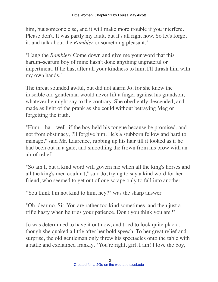him, but someone else, and it will make more trouble if you interfere. Please don't. It was partly my fault, but it's all right now. So let's forget it, and talk about the *Rambler* or something pleasant."

"Hang the *Rambler!* Come down and give me your word that this harum–scarum boy of mine hasn't done anything ungrateful or impertinent. If he has, after all your kindness to him, I'll thrash him with my own hands."

The threat sounded awful, but did not alarm Jo, for she knew the irascible old gentleman would never lift a finger against his grandson, whatever he might say to the contrary. She obediently descended, and made as light of the prank as she could without betraying Meg or forgetting the truth.

"Hum... ha... well, if the boy held his tongue because he promised, and not from obstinacy, I'll forgive him. He's a stubborn fellow and hard to manage," said Mr. Laurence, rubbing up his hair till it looked as if he had been out in a gale, and smoothing the frown from his brow with an air of relief.

"So am I, but a kind word will govern me when all the king's horses and all the king's men couldn't," said Jo, trying to say a kind word for her friend, who seemed to get out of one scrape only to fall into another.

"You think I'm not kind to him, hey?" was the sharp answer.

"Oh, dear no, Sir. You are rather too kind sometimes, and then just a trifle hasty when he tries your patience. Don't you think you are?"

Jo was determined to have it out now, and tried to look quite placid, though she quaked a little after her bold speech. To her great relief and surprise, the old gentleman only threw his spectacles onto the table with a rattle and exclaimed frankly, "You're right, girl, I am! I love the boy,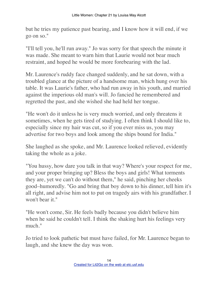but he tries my patience past bearing, and I know how it will end, if we go on so."

"I'll tell you, he'll run away." Jo was sorry for that speech the minute it was made. She meant to warn him that Laurie would not bear much restraint, and hoped he would be more forebearing with the lad.

Mr. Laurence's ruddy face changed suddenly, and he sat down, with a troubled glance at the picture of a handsome man, which hung over his table. It was Laurie's father, who had run away in his youth, and married against the imperious old man's will. Jo fancied he remembered and regretted the past, and she wished she had held her tongue.

"He won't do it unless he is very much worried, and only threatens it sometimes, when he gets tired of studying. I often think I should like to, especially since my hair was cut, so if you ever miss us, you may advertise for two boys and look among the ships bound for India."

She laughed as she spoke, and Mr. Laurence looked relieved, evidently taking the whole as a joke.

"You hussy, how dare you talk in that way? Where's your respect for me, and your proper bringing up? Bless the boys and girls! What torments they are, yet we can't do without them," he said, pinching her cheeks good–humoredly. "Go and bring that boy down to his dinner, tell him it's all right, and advise him not to put on tragedy airs with his grandfather. I won't bear it."

"He won't come, Sir. He feels badly because you didn't believe him when he said he couldn't tell. I think the shaking hurt his feelings very much."

Jo tried to look pathetic but must have failed, for Mr. Laurence began to laugh, and she knew the day was won.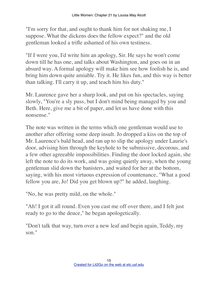"I'm sorry for that, and ought to thank him for not shaking me, I suppose. What the dickens does the fellow expect?" and the old gentleman looked a trifle ashamed of his own testiness.

"If I were you, I'd write him an apology, Sir. He says he won't come down till he has one, and talks about Washington, and goes on in an absurd way. A formal apology will make him see how foolish he is, and bring him down quite amiable. Try it. He likes fun, and this way is better than talking. I'll carry it up, and teach him his duty."

Mr. Laurence gave her a sharp look, and put on his spectacles, saying slowly, "You're a sly puss, but I don't mind being managed by you and Beth. Here, give me a bit of paper, and let us have done with this nonsense."

The note was written in the terms which one gentleman would use to another after offering some deep insult. Jo dropped a kiss on the top of Mr. Laurence's bald head, and ran up to slip the apology under Laurie's door, advising him through the keyhole to be submissive, decorous, and a few other agreeable impossibilities. Finding the door locked again, she left the note to do its work, and was going quietly away, when the young gentleman slid down the banisters, and waited for her at the bottom, saying, with his most virtuous expression of countenance, "What a good fellow you are, Jo! Did you get blown up?" he added, laughing.

"No, he was pretty mild, on the whole."

"Ah! I got it all round. Even you cast me off over there, and I felt just ready to go to the deuce," he began apologetically.

"Don't talk that way, turn over a new leaf and begin again, Teddy, my son."